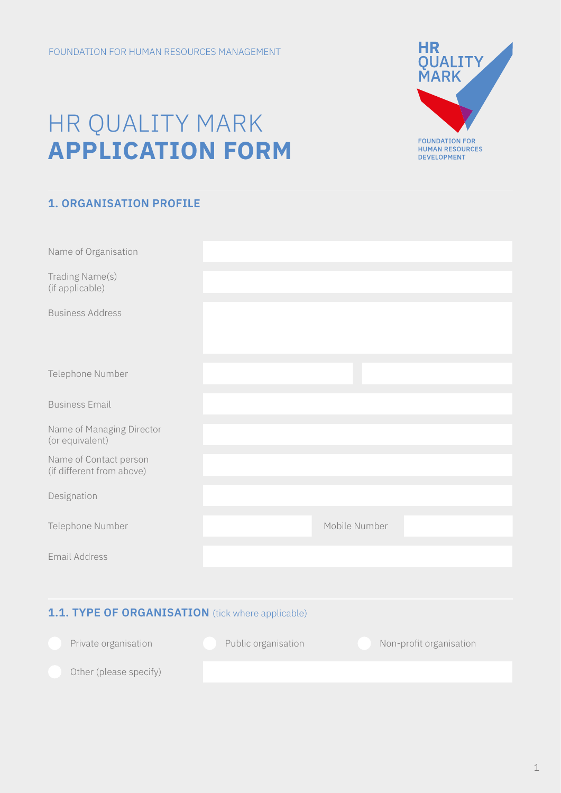# HR QUALITY MARK **APPLICATION FORM**



| Name of Organisation                                |                     |               |                         |  |  |
|-----------------------------------------------------|---------------------|---------------|-------------------------|--|--|
| Trading Name(s)<br>(if applicable)                  |                     |               |                         |  |  |
| <b>Business Address</b>                             |                     |               |                         |  |  |
| Telephone Number                                    |                     |               |                         |  |  |
| <b>Business Email</b>                               |                     |               |                         |  |  |
| Name of Managing Director<br>(or equivalent)        |                     |               |                         |  |  |
| Name of Contact person<br>(if different from above) |                     |               |                         |  |  |
| Designation                                         |                     |               |                         |  |  |
| Telephone Number                                    |                     | Mobile Number |                         |  |  |
| <b>Email Address</b>                                |                     |               |                         |  |  |
|                                                     |                     |               |                         |  |  |
| 1.1. TYPE OF ORGANISATION (tick where applicable)   |                     |               |                         |  |  |
| Private organisation                                | Public organisation |               | Non-profit organisation |  |  |
| Other (please specify)                              |                     |               |                         |  |  |

HR<br>QUALITY<br>MARK

**FOUNDATION FOR<br>HUMAN RESOURCES<br>DEVELOPMENT**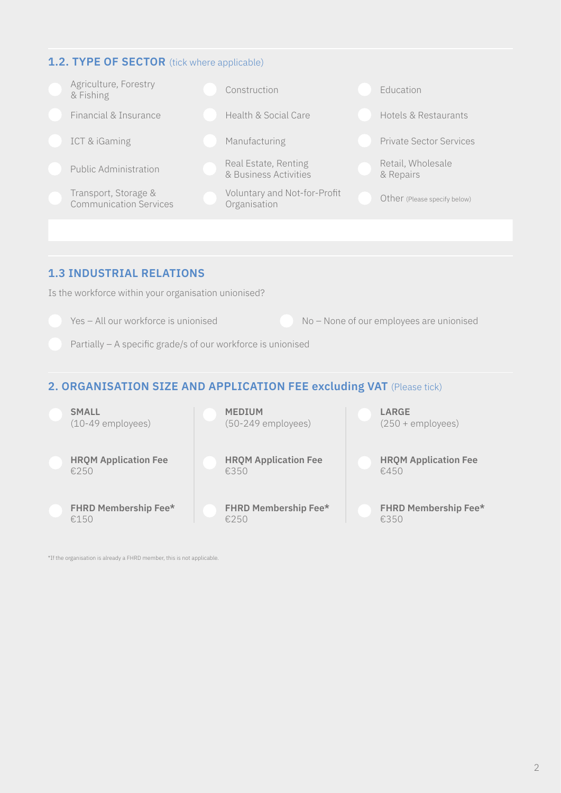## **1.2. TYPE OF SECTOR** (tick where applicable)



# **1.3 INDUSTRIAL RELATIONS**

Is the workforce within your organisation unionised?

Yes – All our workforce is unionised No – None of our employees are unionised

Partially – A specific grade/s of our workforce is unionised

# **2. ORGANISATION SIZE AND APPLICATION FEE excluding VAT** (Please tick)



\*If the organisation is already a FHRD member, this is not applicable.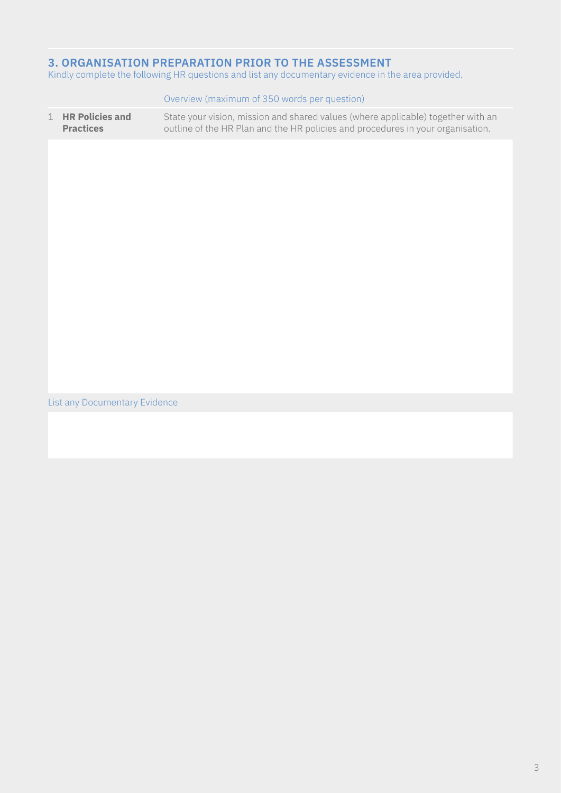# **3. ORGANISATION PREPARATION PRIOR TO THE ASSESSMENT**

Kindly complete the following HR questions and list any documentary evidence in the area provided.

|             |                                            | Overview (maximum of 350 words per question)                                                                                                                        |
|-------------|--------------------------------------------|---------------------------------------------------------------------------------------------------------------------------------------------------------------------|
| $\mathbf 1$ | <b>HR Policies and</b><br><b>Practices</b> | State your vision, mission and shared values (where applicable) together with an<br>outline of the HR Plan and the HR policies and procedures in your organisation. |
|             |                                            |                                                                                                                                                                     |
|             |                                            |                                                                                                                                                                     |
|             |                                            |                                                                                                                                                                     |
|             |                                            |                                                                                                                                                                     |
|             |                                            |                                                                                                                                                                     |
|             |                                            |                                                                                                                                                                     |
|             |                                            |                                                                                                                                                                     |
|             |                                            |                                                                                                                                                                     |

List any Documentary Evidence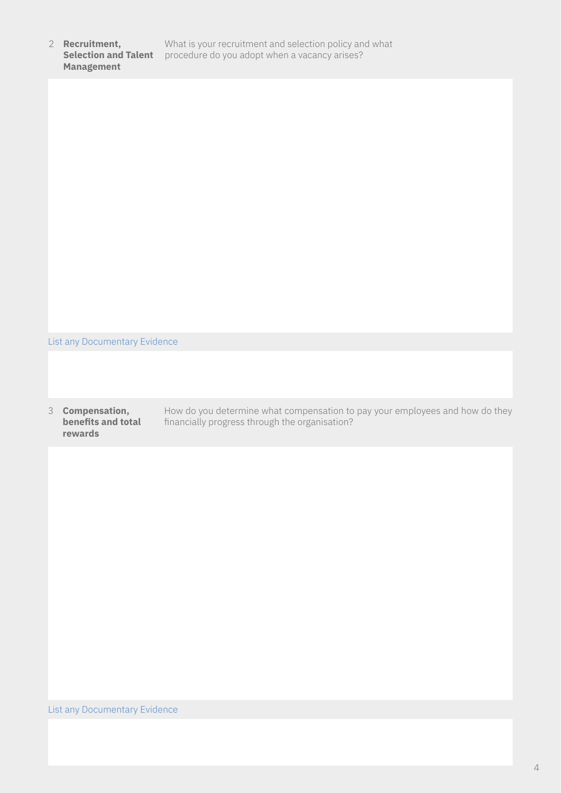| 2 Recruitment,<br><b>Selection and Talent</b><br><b>Management</b> | What is your recruitment and selection policy and what<br>procedure do you adopt when a vacancy arises? |
|--------------------------------------------------------------------|---------------------------------------------------------------------------------------------------------|
|                                                                    |                                                                                                         |
|                                                                    |                                                                                                         |
|                                                                    |                                                                                                         |
|                                                                    |                                                                                                         |

List any Documentary Evidence

3 **Compensation, benefits and total rewards**

How do you determine what compensation to pay your employees and how do they financially progress through the organisation?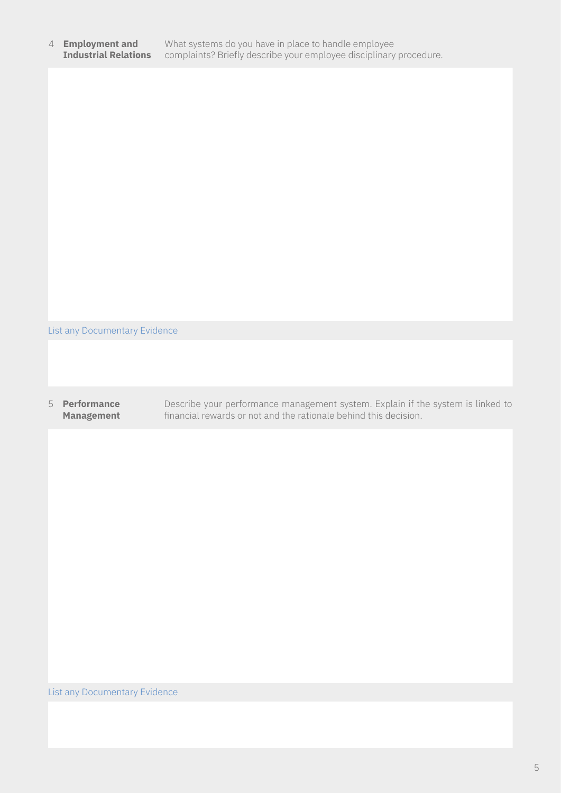#### 4 **Employment and Industrial Relations** What systems do you have in place to handle employee complaints? Briefly describe your employee disciplinary procedure.

List any Documentary Evidence

### 5 **Performance Management**

Describe your performance management system. Explain if the system is linked to financial rewards or not and the rationale behind this decision.

## List any Documentary Evidence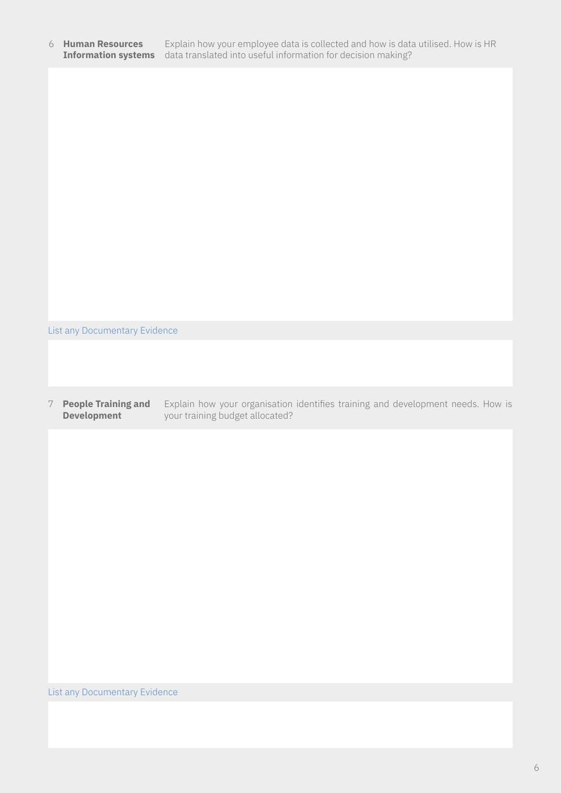#### 6 **Human Resources** Explain how your employee data is collected and how is data utilised. How is HR **Information systems** data translated into useful information for decision making?

List any Documentary Evidence

#### 7 **People Training and Development** Explain how your organisation identifies training and development needs. How is your training budget allocated?

List any Documentary Evidence